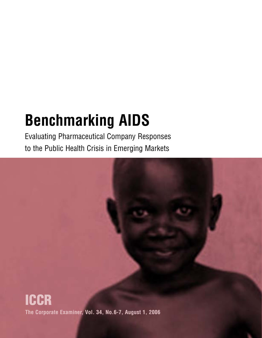# **Benchmarking AIDS**

Evaluating Pharmaceutical Company Responses to the Public Health Crisis in Emerging Markets

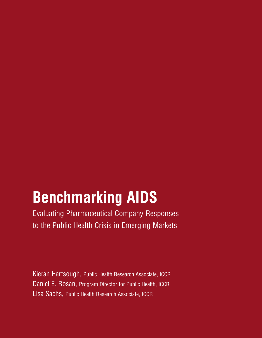## **Benchmarking AIDS**

Evaluating Pharmaceutical Company Responses to the Public Health Crisis in Emerging Markets

Kieran Hartsough, Public Health Research Associate, ICCR Daniel E. Rosan, Program Director for Public Health, ICCR Lisa Sachs, Public Health Research Associate, ICCR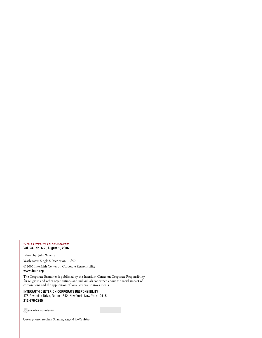#### *THE CORPORATE EXAMINER* **Vol. 34, No. 6-7, August 1, 2006**

Edited by: Julie Wokaty Yearly rates: Single Subscription \$50

©2006 Interfaith Center on Corporate Responsibility

**www.iccr.org**

The Corporate Examiner is published by the Interfaith Center on Corporate Responsibility for religious and other organizations and individuals concerned about the social impact of corporations and the application of social criteria to investments.

### **INTERFAITH CENTER ON CORPORATE RESPONSIBILITY** 475 Riverside Drive, Room 1842, New York, New York 10115 **212-870-2295**

printed on recycled paper

Cover photo: Stephen Shames, *Keep A Child Alive*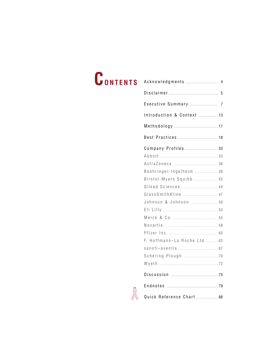# **CONTENTS** Acknowledgments . . . . . . . . . . . . . . . . . . . . . . . . <sup>4</sup>

| Executive Summary  7          |  |
|-------------------------------|--|
| Introduction & Context  13    |  |
| Methodology  17               |  |
|                               |  |
| Company Profiles 33           |  |
|                               |  |
|                               |  |
| Boehringer-Ingelheim  39      |  |
| Bristol-Myers Squibb  42      |  |
| Gilead Sciences  44           |  |
| GlaxoSmithKline 47            |  |
| Johnson & Johnson 50          |  |
|                               |  |
|                               |  |
|                               |  |
|                               |  |
| F. Hoffmann-La Roche Ltd.  63 |  |
|                               |  |
|                               |  |
|                               |  |
|                               |  |
|                               |  |
| Quick Reference Chart  88     |  |

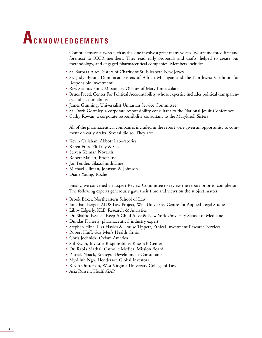## **ACKNOWLEDGEMENTS**

Comprehensive surveys such as this one involve a great many voices. We are indebted first and foremost to ICCR members. They read early proposals and drafts, helped to create our methodology, and engaged pharmaceutical companies. Members include:

- Sr. Barbara Aires, Sisters of Charity of St. Elizabeth New Jersey
- Sr. Judy Byron, Dominican Sisters of Adrian Michigan and the Northwest Coalition for Responsible Investment
- Rev. Seamus Finn, Missionary Oblates of Mary Immaculate
- Bruce Freed, Center For Political Accountability, whose expertise includes political transparency and accountability
- James Gunning, Universalist Unitarian Service Committee
- Sr. Doris Gormley, a corporate responsibility consultant to the National Jesuit Conference
- Cathy Rowan, a corporate responsibility consultant to the Maryknoll Sisters

All of the pharmaceutical companies included in the report were given an opportunity to comment on early drafts. Several did so. They are:

- Kevin Callahan, Abbott Laboratories
- Karen Friss, Eli Lilly & Co.
- Steven Kelmar, Novartis
- Robert Mallett, Pfizer Inc.
- Jon Pender, GlaxoSmithKline
- Michael Ullman, Johnson & Johnson
- Diane Young, Roche

Finally, we convened an Expert Review Committee to review the report prior to completion. The following experts generously gave their time and views on the subject matter:

- Brook Baker, Northeastern School of Law
- Jonathan Berger, AIDS Law Project, Wits University Centre for Applied Legal Studies
- Libby Edgerly, KLD Research & Analytics
- Dr. Shaffiq Essajee, Keep A Child Alive & New York University School of Medicine
- Dundas Flaherty, pharmaceutical industry expert
- Stephen Hine, Lisa Hayles & Louise Tippett, Ethical Investment Research Services
- Robert Huff, Gay Men's Health Crisis
- Chris Jochnick, Oxfam America
- Sol Kwon, Investor Responsibility Research Center
- Dr. Rabia Mathai, Catholic Medical Mission Board
- Patrick Noack, Strategic Development Consultants
- My-Linh Ngo, Henderson Global Investors
- Kevin Outterson, West Virginia University College of Law
- Asia Russell, HealthGAP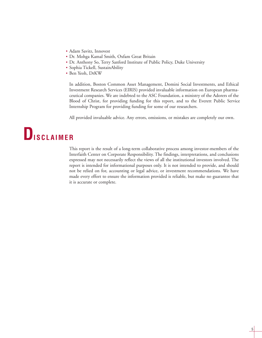- Adam Savitz, Innovest
- Dr. Mohga Kamal Smith, Oxfam Great Britain
- Dr. Anthony So, Terry Sanford Institute of Public Policy, Duke University
- Sophia Tickell, SustainAbility
- Ben Yeoh, DrKW

In addition, Boston Common Asset Management, Domini Social Investments, and Ethical Investment Research Services (EIRIS) provided invaluable information on European pharmaceutical companies. We are indebted to the ASC Foundation, a ministry of the Adorers of the Blood of Christ, for providing funding for this report, and to the Everett Public Service Internship Program for providing funding for some of our researchers.

All provided invaluable advice. Any errors, omissions, or mistakes are completely our own.

### **DISCLAIMER**

This report is the result of a long-term collaborative process among investor-members of the Interfaith Center on Corporate Responsibility. The findings, interpretations, and conclusions expressed may not necessarily reflect the views of all the institutional investors involved. The report is intended for informational purposes only. It is not intended to provide, and should not be relied on for, accounting or legal advice, or investment recommendations. We have made every effort to ensure the information provided is reliable, but make no guarantee that it is accurate or complete.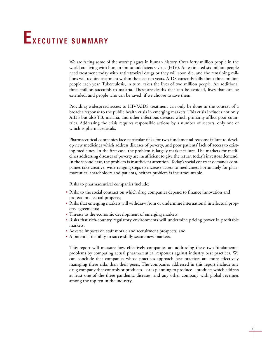## **EXECUTIVE SUMMARY**

We are facing some of the worst plagues in human history. Over forty million people in the world are living with human immunodeficiency virus (HIV). An estimated six million people need treatment today with antiretroviral drugs or they will soon die, and the remaining millions will require treatment within the next ten years. AIDS currently kills about three million people each year. Tuberculosis, in turn, takes the lives of two million people. An additional three million succumb to malaria. These are deaths that can be avoided, lives that can be extended, and people who can be saved, if we choose to save them.

Providing widespread access to HIV/AIDS treatment can only be done in the context of a broader response to the public health crisis in emerging markets. This crisis includes not only AIDS but also TB, malaria, and other infectious diseases which primarily afflict poor countries. Addressing the crisis requires responsible actions by a number of sectors, only one of which is pharmaceuticals.

Pharmaceutical companies face particular risks for two fundamental reasons: failure to develop new medicines which address diseases of poverty, and poor patients' lack of access to existing medicines. In the first case, the problem is largely market failure. The markets for medicines addressing diseases of poverty are insufficient to give the return today's investors demand. In the second case, the problem is insufficient attention. Today's social contract demands companies take creative, wide-ranging steps to increase access to medicines. Fortunately for pharmaceutical shareholders and patients, neither problem is insurmountable.

Risks to pharmaceutical companies include:

- Risks to the social contract on which drug companies depend to finance innovation and protect intellectual property;
- Risks that emerging markets will withdraw from or undermine international intellectual property agreements;
- Threats to the economic development of emerging markets;
- Risks that rich-country regulatory environments will undermine pricing power in profitable markets;
- Adverse impacts on staff morale and recruitment prospects; and
- A potential inability to successfully secure new markets.

This report will measure how effectively companies are addressing these two fundamental problems by comparing actual pharmaceutical responses against industry best practices. We can conclude that companies whose practices approach best practices are more effectively managing these risks than their peers. The companies addressed in this report include any drug company that controls or produces – or is planning to produce – products which address at least one of the three pandemic diseases, and any other company with global revenues among the top ten in the industry.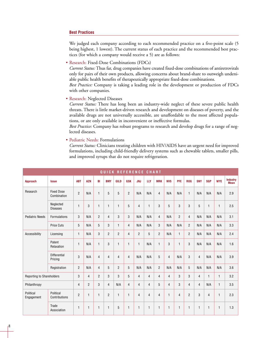### **Best Practices**

We judged each company according to each recommended practice on a five-point scale (5 being highest, 1 lowest). The current status of each practice and the recommended best practices (for which a company would receive a 5) are as follows:

• Research: Fixed-Dose Combinations (FDCs)

*Current Status:* Thus far, drug companies have created fixed-dose combinations of antiretrovirals only for pairs of their own products, allowing concerns about brand-share to outweigh undeniable public health benefits of therapeutically appropriate fixed-dose combinations.

*Best Practice:* Company is taking a leading role in the development or production of FDCs with other companies.

• Research: Neglected Diseases

*Current Status:* There has long been an industry-wide neglect of these severe public health threats. There is little market-driven research and development on diseases of poverty, and the available drugs are not universally accessible, are unaffordable to the most affected populations, or are only available in inconvenient or ineffective formulas.

*Best Practice:* Company has robust programs to research and develop drugs for a range of neglected diseases.

• Pediatric Needs: Formulations

*Current Status:* Clinicians treating children with HIV/AIDS have an urgent need for improved formulations, including child-friendly delivery systems such as chewable tablets, smaller pills, and improved syrups that do not require refrigeration.

| QUICK REFERENCE CHART            |                                  |                |                |                |                |                |                |                |                |                |                |                |                |                |                |              |                                      |
|----------------------------------|----------------------------------|----------------|----------------|----------------|----------------|----------------|----------------|----------------|----------------|----------------|----------------|----------------|----------------|----------------|----------------|--------------|--------------------------------------|
| <b>Approach</b>                  | <b>Issue</b>                     | <b>ABT</b>     | <b>AZN</b>     | BI             | <b>BMY</b>     | <b>GILD</b>    | <b>GSK</b>     | <b>JNJ</b>     | <b>LLY</b>     | <b>MRK</b>     | <b>NVS</b>     | <b>PFE</b>     | <b>ROG</b>     | <b>SNY</b>     | <b>SGP</b>     | <b>WYE</b>   | <b>Industry</b><br>Mean <sup>1</sup> |
| Research                         | <b>Fixed Dose</b><br>Combination | $\overline{2}$ | N/A            | $\mathbf{1}$   | 5              | 5              | $\overline{2}$ | N/A            | N/A            | $\overline{4}$ | N/A            | N/A            | $\mathbf{1}$   | N/A            | N/A            | N/A          | 2.9                                  |
|                                  | Neglected<br><b>Diseases</b>     | $\mathbf{1}$   | 3              | $\mathbf{1}$   | $\mathbf{1}$   | 1              | 5              | $\overline{4}$ | $\overline{1}$ | 3              | 5              | 3              | 3              | 5              | 1              | $\mathbf{1}$ | 2.5                                  |
| <b>Pediatric Needs</b>           | Formulations                     | 3              | N/A            | $\overline{2}$ | $\overline{4}$ | 3              | 3              | N/A            | N/A            | $\overline{4}$ | N/A            | $\overline{2}$ | $\overline{4}$ | N/A            | N/A            | N/A          | 3.1                                  |
|                                  | <b>Price Cuts</b>                | 5              | N/A            | 5              | 3              | $\mathbf{1}$   | $\overline{4}$ | N/A            | N/A            | 3              | N/A            | N/A            | $\overline{2}$ | N/A            | N/A            | N/A          | 3.3                                  |
| Accessibility                    | Licensing                        | $\mathbf{1}$   | N/A            | 3              | $\overline{2}$ | $\overline{2}$ | $\overline{4}$ | $\overline{2}$ | 5              | $\overline{2}$ | N/A            | $\mathbf{1}$   | $\overline{2}$ | N/A            | N/A            | N/A          | 2.4                                  |
|                                  | Patent<br>Relaxation             | $\mathbf{1}$   | N/A            | $\mathbf{1}$   | 3              | $\mathbf{1}$   | $\mathbf{1}$   | $\mathbf{1}$   | N/A            | $\mathbf{1}$   | 3              | $\mathbf{1}$   | 3              | N/A            | N/A            | N/A          | 1.6                                  |
|                                  | Differential<br>Pricing          | 3              | N/A            | $\overline{4}$ | $\overline{4}$ | $\overline{4}$ | $\overline{4}$ | N/A            | N/A            | 5              | $\overline{4}$ | N/A            | 3              | $\overline{4}$ | N/A            | N/A          | 3.9                                  |
|                                  | Registration                     | $\overline{2}$ | N/A            | $\overline{4}$ | 5              | $\overline{2}$ | 5              | N/A            | N/A            | $\overline{2}$ | N/A            | N/A            | 5              | N/A            | N/A            | N/A          | 3.6                                  |
| <b>Reporting to Shareholders</b> |                                  | 3              | $\overline{4}$ | $\overline{2}$ | 3              | 3              | 5              | $\overline{4}$ | $\overline{4}$ | 4              | $\overline{4}$ | 3              | 3              | $\overline{4}$ | $\mathbf{1}$   | $\mathbf{1}$ | 3.2                                  |
| Philanthropy                     |                                  | $\overline{4}$ | $\overline{2}$ | 3              | $\overline{4}$ | N/A            | $\overline{4}$ | $\overline{4}$ | $\overline{4}$ | 5              | $\overline{4}$ | 3              | $\overline{4}$ | $\overline{4}$ | N/A            | $\mathbf{1}$ | 3.5                                  |
| Political<br>Engagement          | Political<br>Contributions       | $\overline{2}$ | $\mathbf{1}$   | $\mathbf{1}$   | $\overline{2}$ | $\mathbf{1}$   | $\mathbf{1}$   | $\overline{4}$ | $\overline{4}$ | $\overline{4}$ | $\mathbf{1}$   | $\overline{4}$ | $\overline{2}$ | 3              | $\overline{4}$ | $\mathbf{1}$ | 2.3                                  |
|                                  | Trade<br>Association             | $\mathbf{1}$   | $\mathbf{1}$   | $\mathbf{1}$   | $\mathbf{1}$   | 5              | $\mathbf{1}$   | $\mathbf{1}$   | $\mathbf{1}$   | $\mathbf{1}$   | $\mathbf{1}$   | $\mathbf{1}$   | $\mathbf{1}$   | $\mathbf{1}$   | 1              | $\mathbf{1}$ | 1.3                                  |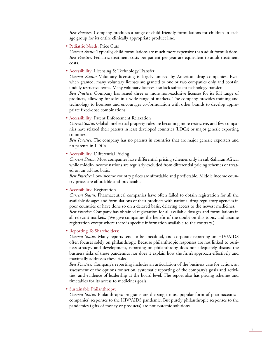*Best Practice:* Company produces a range of child-friendly formulations for children in each age group for its entire clinically appropriate product line.

• Pediatric Needs: Price Cuts

*Current Status:* Typically, child formulations are much more expensive than adult formulations. *Best Practice:* Pediatric treatment costs per patient per year are equivalent to adult treatment costs.

• Accessibility: Licensing & Technology Transfer

*Current Status:* Voluntary licensing is largely unused by American drug companies. Even when granted, many voluntary licenses are granted to one or two companies only and contain unduly restrictive terms. Many voluntary licenses also lack sufficient technology transfer.

*Best Practice:* Company has issued three or more non-exclusive licenses for its full range of products, allowing for sales in a wide range of markets. The company provides training and technology to licensees and encourages co-formulation with other brands to develop appropriate fixed-dose combinations.

• Accessibility: Patent Enforcement Relaxation

*Current Status:* Global intellectual property rules are becoming more restrictive, and few companies have relaxed their patents in least developed countries (LDCs) or major generic exporting countries.

*Best Practice:* The company has no patents in countries that are major generic exporters and no patents in LDCs.

• Accessibility: Differential Pricing

*Current Status:* Most companies have differential pricing schemes only in sub-Saharan Africa, while middle-income nations are regularly excluded from differential pricing schemes or treated on an ad-hoc basis.

*Best Practice:* Low-income country prices are affordable and predictable. Middle income country prices are affordable and predictable.

• Accessibility: Registration

*Current Status:* Pharmaceutical companies have often failed to obtain registration for all the available dosages and formulations of their products with national drug regulatory agencies in poor countries or have done so on a delayed basis, delaying access to the newest medicines. *Best Practice:* Company has obtained registration for all available dosages and formulations in all relevant markets. (We give companies the benefit of the doubt on this topic, and assume registration except where there is specific information available to the contrary.)

• Reporting To Shareholders:

*Current Status:* Many reports tend to be anecdotal, and corporate reporting on HIV/AIDS often focuses solely on philanthropy. Because philanthropic responses are not linked to business strategy and development, reporting on philanthropy does not adequately discuss the business risks of these pandemics nor does it explain how the firm's approach effectively and maximally addresses these risks.

*Best Practice:* Company's reporting includes an articulation of the business case for action, an assessment of the options for action, systematic reporting of the company's goals and activities, and evidence of leadership at the board level. The report also has pricing schemes and timetables for its access to medicines goals.

### • Sustainable Philanthropy:

*Current Status:* Philanthropic programs are the single most popular form of pharmaceutical companies' responses to the HIV/AIDS pandemic. But purely philanthropic responses to the pandemics (gifts of money or products) are not systemic solutions.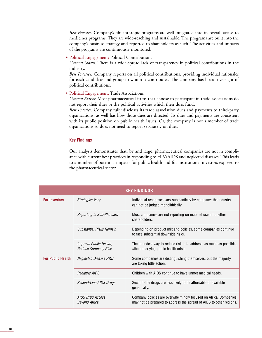*Best Practice:* Company's philanthropic programs are well integrated into its overall access to medicines programs. They are wide-reaching and sustainable. The programs are built into the company's business strategy and reported to shareholders as such. The activities and impacts of the programs are continuously monitored.

• Political Engagement: Political Contributions

*Current Status:* There is a wide-spread lack of transparency in political contributions in the industry.

*Best Practice:* Company reports on all political contributions, providing individual rationales for each candidate and group to whom it contributes. The company has board oversight of political contributions.

• Political Engagement: Trade Associations

*Current Status:* Most pharmaceutical firms that choose to participate in trade associations do not report their dues or the political activities which their dues fund.

*Best Practice:* Company fully discloses its trade association dues and payments to third-party organizations, as well has how those dues are directed. Its dues and payments are consistent with its public position on public health issues. Or, the company is not a member of trade organizations so does not need to report separately on dues.

### **Key Findings**

Our analysis demonstrates that, by and large, pharmaceutical companies are not in compliance with current best practices in responding to HIV/AIDS and neglected diseases. This leads to a number of potential impacts for public health and for institutional investors exposed to the pharmaceutical sector.

| <b>KEY FINDINGS</b>      |                                               |                                                                                                                                         |  |  |  |  |  |  |
|--------------------------|-----------------------------------------------|-----------------------------------------------------------------------------------------------------------------------------------------|--|--|--|--|--|--|
| <b>For Investors</b>     | Strategies Vary                               | Individual responses vary substantially by company: the industry<br>can not be judged monolithically.                                   |  |  |  |  |  |  |
|                          | <b>Reporting Is Sub-Standard</b>              | Most companies are not reporting on material useful to either<br>shareholders.                                                          |  |  |  |  |  |  |
|                          | <b>Substantial Risks Remain</b>               | Depending on product mix and policies, some companies continue<br>to face substantial downside risks.                                   |  |  |  |  |  |  |
|                          | Improve Public Health,<br>Reduce Company Risk | The soundest way to reduce risk is to address, as much as possible,<br>sthe underlying public health crisis.                            |  |  |  |  |  |  |
| <b>For Public Health</b> | Neglected Disease R&D                         | Some companies are distinguishing themselves, but the majority<br>are taking little action.                                             |  |  |  |  |  |  |
|                          | Pediatric AIDS                                | Children with AIDS continue to have unmet medical needs.                                                                                |  |  |  |  |  |  |
|                          | Second-Line AIDS Drugs                        | Second-line drugs are less likely to be affordable or available<br>generically.                                                         |  |  |  |  |  |  |
|                          | AIDS Drug Access<br><b>Beyond Africa</b>      | Company policies are overwhelmingly focused on Africa. Companies<br>may not be prepared to address the spread of AIDS to other regions. |  |  |  |  |  |  |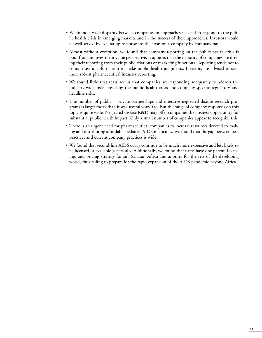- We found a wide disparity between companies in approaches selected to respond to the public health crisis in emerging markets and in the success of these approaches. Investors would be well served by evaluating responses to the crisis on a company by company basis.
- Almost without exception, we found that company reporting on the public health crisis is poor from an investment value perspective. It appears that the majority of companies are driving their reporting from their public relations or marketing functions. Reporting tends not to contain useful information to make public health judgments. Investors are advised to seek more robust pharmaceutical industry reporting.
- We found little that reassures us that companies are responding adequately to address the industry-wide risks posed by the public health crisis and company-specific regulatory and headline risks.
- The number of public private partnerships and intensive neglected disease research programs is larger today than it was several years ago. But the range of company responses on this topic is quite wide. Neglected disease R&D may offer companies the greatest opportunity for substantial public health impact. Only a small number of companies appear to recognize this.
- There is an urgent need for pharmaceutical companies to increase resources devoted to making and distributing affordable pediatric AIDS medicines. We found that the gap between best practices and current company practices is wide.
- We found that second-line AIDS drugs continue to be much more expensive and less likely to be licensed or available generically. Additionally, we found that firms have one patent, licensing, and pricing strategy for sub-Saharan Africa and another for the rest of the developing world, thus failing to prepare for the rapid expansion of the AIDS pandemic beyond Africa.